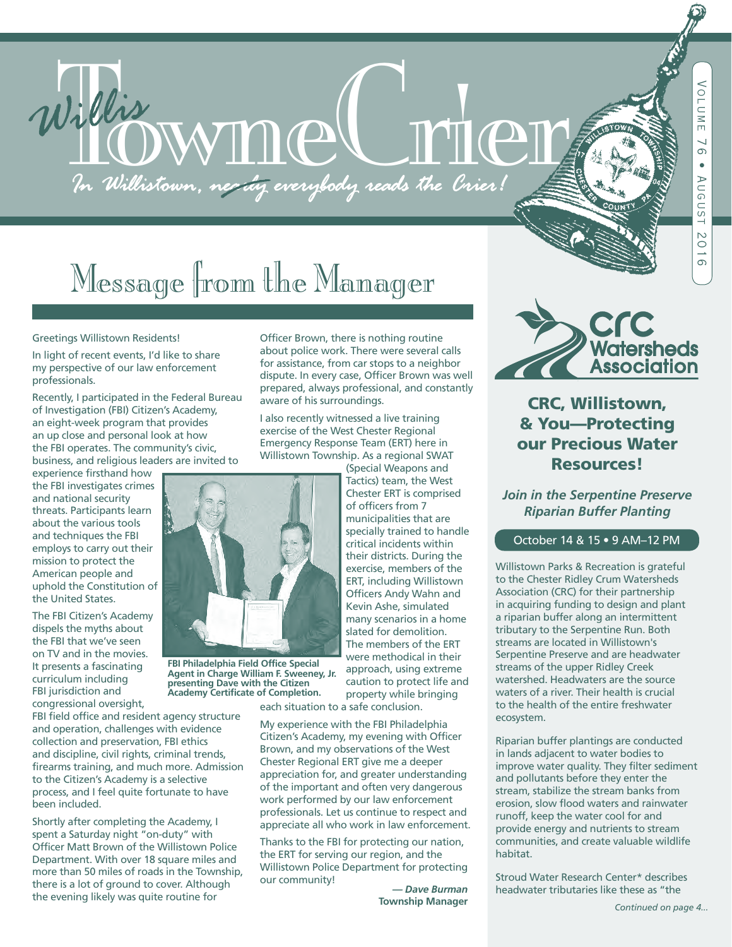# Willis WWM CLIMAN

# Message from the Manager

#### Greetings Willistown Residents!

In light of recent events, I'd like to share my perspective of our law enforcement professionals.

Recently, I participated in the Federal Bureau of Investigation (FBI) Citizen's Academy, an eight-week program that provides an up close and personal look at how the FBI operates. The community's civic, business, and religious leaders are invited to

experience firsthand how the FBI investigates crimes and national security threats. Participants learn about the various tools and techniques the FBI employs to carry out their mission to protect the American people and uphold the Constitution of the United States.

The FBI Citizen's Academy dispels the myths about the FBI that we've seen on TV and in the movies. It presents a fascinating curriculum including FBI jurisdiction and congressional oversight,

FBI field office and resident agency structure and operation, challenges with evidence collection and preservation, FBI ethics and discipline, civil rights, criminal trends, firearms training, and much more. Admission to the Citizen's Academy is a selective process, and I feel quite fortunate to have been included.

Shortly after completing the Academy, I spent a Saturday night "on-duty" with Officer Matt Brown of the Willistown Police Department. With over 18 square miles and more than 50 miles of roads in the Township, there is a lot of ground to cover. Although the evening likely was quite routine for

Officer Brown, there is nothing routine about police work. There were several calls for assistance, from car stops to a neighbor dispute. In every case, Officer Brown was well prepared, always professional, and constantly aware of his surroundings.

I also recently witnessed a live training exercise of the West Chester Regional Emergency Response Team (ERT) here in Willistown Township. As a regional SWAT

(Special Weapons and Tactics) team, the West Chester ERT is comprised of officers from 7 municipalities that are specially trained to handle critical incidents within their districts. During the exercise, members of the ERT, including Willistown Officers Andy Wahn and Kevin Ashe, simulated many scenarios in a home slated for demolition. The members of the ERT were methodical in their approach, using extreme caution to protect life and property while bringing

each situation to a safe conclusion.

My experience with the FBI Philadelphia Citizen's Academy, my evening with Officer Brown, and my observations of the West Chester Regional ERT give me a deeper appreciation for, and greater understanding of the important and often very dangerous work performed by our law enforcement professionals. Let us continue to respect and appreciate all who work in law enforcement.

Thanks to the FBI for protecting our nation, the ERT for serving our region, and the Willistown Police Department for protecting our community!

*— Dave Burman*  **Township Manager**



# CRC, Willistown, & You—Protecting our Precious Water Resources!

*Join in the Serpentine Preserve Riparian Buffer Planting*

#### October 14 & 15 • 9 AM–12 PM

Willistown Parks & Recreation is grateful to the Chester Ridley Crum Watersheds Association (CRC) for their partnership in acquiring funding to design and plant a riparian buffer along an intermittent tributary to the Serpentine Run. Both streams are located in Willistown's Serpentine Preserve and are headwater streams of the upper Ridley Creek watershed. Headwaters are the source waters of a river. Their health is crucial to the health of the entire freshwater ecosystem.

Riparian buffer plantings are conducted in lands adjacent to water bodies to improve water quality. They filter sediment and pollutants before they enter the stream, stabilize the stream banks from erosion, slow flood waters and rainwater runoff, keep the water cool for and provide energy and nutrients to stream communities, and create valuable wildlife habitat.

Stroud Water Research Center\* describes headwater tributaries like these as "the



**FBI Philadelphia Field Office Special Agent in Charge William F. Sweeney, Jr. presenting Dave with the Citizen Academy Certificate of Completion.**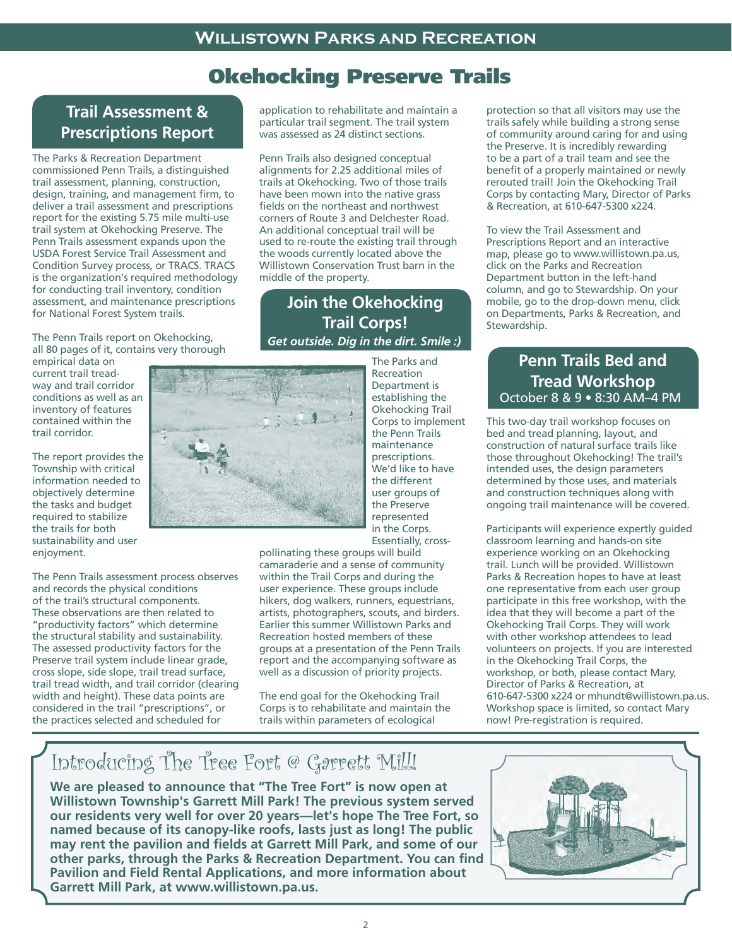# Okehocking Preserve Trails

# **Trail Assessment & Prescriptions Report**

The Parks & Recreation Department commissioned Penn Trails, a distinguished trail assessment, planning, construction, design, training, and management firm, to deliver a trail assessment and prescriptions report for the existing 5.75 mile multi-use trail system at Okehocking Preserve. The Penn Trails assessment expands upon the USDA Forest Service Trail Assessment and Condition Survey process, or TRACS. TRACS is the organization's required methodology for conducting trail inventory, condition assessment, and maintenance prescriptions for National Forest System trails.

The Penn Trails report on Okehocking, all 80 pages of it, contains very thorough

empirical data on current trail treadway and trail corridor conditions as well as an inventory of features contained within the trail corridor.

The report provides the Township with critical information needed to objectively determine the tasks and budget required to stabilize the trails for both sustainability and user enjoyment.

The Penn Trails assessment process observes and records the physical conditions of the trail's structural components. These observations are then related to "productivity factors" which determine the structural stability and sustainability. The assessed productivity factors for the Preserve trail system include linear grade, cross slope, side slope, trail tread surface, trail tread width, and trail corridor (clearing width and height). These data points are considered in the trail "prescriptions", or the practices selected and scheduled for

application to rehabilitate and maintain a particular trail segment. The trail system was assessed as 24 distinct sections.

Penn Trails also designed conceptual alignments for 2.25 additional miles of trails at Okehocking. Two of those trails have been mown into the native grass fields on the northeast and northwest corners of Route 3 and Delchester Road. An additional conceptual trail will be used to re-route the existing trail through the woods currently located above the Willistown Conservation Trust barn in the middle of the property.

# **Join the Okehocking Trail Corps!** *Get outside. Dig in the dirt. Smile :)*

The Parks and Recreation Department is establishing the Okehocking Trail Corps to implement the Penn Trails maintenance prescriptions. We'd like to have the different user groups of the Preserve represented in the Corps. Essentially, cross-

pollinating these groups will build camaraderie and a sense of community within the Trail Corps and during the user experience. These groups include hikers, dog walkers, runners, equestrians, artists, photographers, scouts, and birders. Earlier this summer Willistown Parks and Recreation hosted members of these groups at a presentation of the Penn Trails report and the accompanying software as well as a discussion of priority projects.

The end goal for the Okehocking Trail Corps is to rehabilitate and maintain the trails within parameters of ecological

protection so that all visitors may use the trails safely while building a strong sense of community around caring for and using the Preserve. It is incredibly rewarding to be a part of a trail team and see the benefit of a properly maintained or newly rerouted trail! Join the Okehocking Trail Corps by contacting Mary, Director of Parks & Recreation, at 610-647-5300 x224.

To view the Trail Assessment and Prescriptions Report and an interactive map, please go to www.willistown.pa.us, click on the Parks and Recreation Department button in the left-hand column, and go to Stewardship. On your mobile, go to the drop-down menu, click on Departments, Parks & Recreation, and Stewardship.

# **Penn Trails Bed and Tread Workshop** October 8 & 9 • 8:30 AM–4 PM

This two-day trail workshop focuses on bed and tread planning, layout, and construction of natural surface trails like those throughout Okehocking! The trail's intended uses, the design parameters determined by those uses, and materials and construction techniques along with ongoing trail maintenance will be covered.

Participants will experience expertly guided classroom learning and hands-on site experience working on an Okehocking trail. Lunch will be provided. Willistown Parks & Recreation hopes to have at least one representative from each user group participate in this free workshop, with the idea that they will become a part of the Okehocking Trail Corps. They will work with other workshop attendees to lead volunteers on projects. If you are interested in the Okehocking Trail Corps, the workshop, or both, please contact Mary, Director of Parks & Recreation, at Workshop space is limited, so contact Mary now! Pre-registration is required. 610-647-5300 x224 or mhundt@willistown.pa.us.

# Introducing The Tree Fort @ Garrett Mill!

**We are pleased to announce that "The Tree Fort" is now open at Willistown Township's Garrett Mill Park! The previous system served our residents very well for over 20 years—let's hope The Tree Fort, so named because of its canopy-like roofs, lasts just as long! The public may rent the pavilion and fields at Garrett Mill Park, and some of our other parks, through the Parks & Recreation Department. You can find Pavilion and Field Rental Applications, and more information about Garrett Mill Park, at www.willistown.pa.us.** 



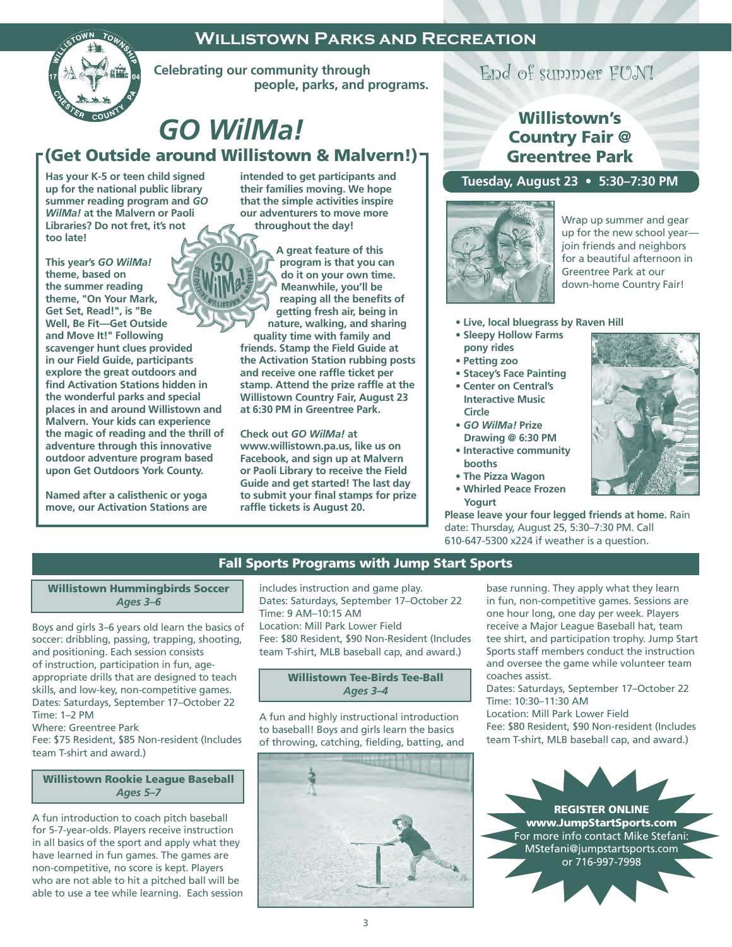# **Willistown Parks and Recreation**



 **Celebrating our community through people, parks, and programs.**

# *GO WilMa!*

(Get Outside around Willistown & Malvern!)

**Has your K-5 or teen child signed up for the national public library summer reading program and** *GO WilMa!* **at the Malvern or Paoli Libraries? Do not fret, it's not too late!** 

**This year's** *GO WilMa!*  **theme, based on the summer reading theme, "On Your Mark, Get Set, Read!", is "Be Well, Be Fit—Get Outside and Move It!" Following scavenger hunt clues provided in our Field Guide, participants explore the great outdoors and find Activation Stations hidden in the wonderful parks and special places in and around Willistown and Malvern. Your kids can experience the magic of reading and the thrill of adventure through this innovative outdoor adventure program based upon Get Outdoors York County.** 

**Named after a calisthenic or yoga move, our Activation Stations are**  **intended to get participants and their families moving. We hope that the simple activities inspire our adventurers to move more throughout the day!** 

**A great feature of this program is that you can do it on your own time. Meanwhile, you'll be reaping all the benefits of getting fresh air, being in nature, walking, and sharing quality time with family and friends. Stamp the Field Guide at the Activation Station rubbing posts and receive one raffle ticket per stamp. Attend the prize raffle at the Willistown Country Fair, August 23 at 6:30 PM in Greentree Park.**

**Check out** *GO WilMa!* **at www.willistown.pa.us, like us on Facebook, and sign up at Malvern or Paoli Library to receive the Field Guide and get started! The last day to submit your final stamps for prize raffle tickets is August 20.**

# End of summer FUN!

# Willistown's Country Fair @ Greentree Park

#### **Tuesday, August 23 • 5:30–7:30 PM**



Wrap up summer and gear up for the new school year join friends and neighbors for a beautiful afternoon in Greentree Park at our down-home Country Fair!

- **Live, local bluegrass by Raven Hill**
- **Sleepy Hollow Farms pony rides**
- **Petting zoo**
- **Stacey's Face Painting**
- **Center on Central's Interactive Music Circle**
- *GO WilMa!* **Prize Drawing @ 6:30 PM**
- **Interactive community booths**
- **The Pizza Wagon**
- **Whirled Peace Frozen Yogurt**

**Please leave your four legged friends at home.** Rain date: Thursday, August 25, 5:30–7:30 PM. Call 610-647-5300 x224 if weather is a question.

#### Fall Sports Programs with Jump Start Sports

#### Willistown Hummingbirds Soccer *Ages 3–6*

Boys and girls 3–6 years old learn the basics of soccer: dribbling, passing, trapping, shooting, and positioning. Each session consists of instruction, participation in fun, ageappropriate drills that are designed to teach skills, and low-key, non-competitive games. Dates: Saturdays, September 17–October 22 Time: 1–2 PM

Where: Greentree Park

Fee: \$75 Resident, \$85 Non-resident (Includes team T-shirt and award.)

#### Willistown Rookie League Baseball *Ages 5–7*

A fun introduction to coach pitch baseball for 5-7-year-olds. Players receive instruction in all basics of the sport and apply what they have learned in fun games. The games are non-competitive, no score is kept. Players who are not able to hit a pitched ball will be able to use a tee while learning. Each session includes instruction and game play. Dates: Saturdays, September 17–October 22 Time: 9 AM–10:15 AM Location: Mill Park Lower Field Fee: \$80 Resident, \$90 Non-Resident (Includes team T-shirt, MLB baseball cap, and award.)

#### Willistown Tee-Birds Tee-Ball *Ages 3–4*

A fun and highly instructional introduction to baseball! Boys and girls learn the basics of throwing, catching, fielding, batting, and



base running. They apply what they learn in fun, non-competitive games. Sessions are one hour long, one day per week. Players receive a Major League Baseball hat, team tee shirt, and participation trophy. Jump Start Sports staff members conduct the instruction and oversee the game while volunteer team coaches assist.

Dates: Saturdays, September 17–October 22 Time: 10:30–11:30 AM Location: Mill Park Lower Field Fee: \$80 Resident, \$90 Non-resident (Includes team T-shirt, MLB baseball cap, and award.)

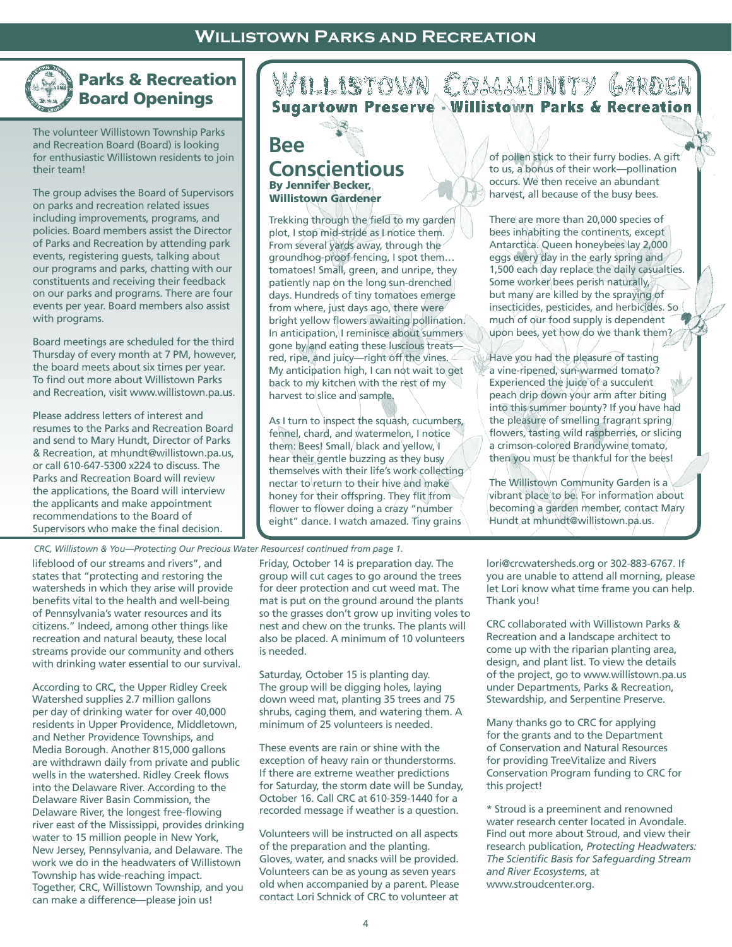# **Willistown Parks and Recreation**

# Parks & Recreation Board Openings

The volunteer Willistown Township Parks and Recreation Board (Board) is looking for enthusiastic Willistown residents to join their team!

The group advises the Board of Supervisors on parks and recreation related issues including improvements, programs, and policies. Board members assist the Director of Parks and Recreation by attending park events, registering guests, talking about our programs and parks, chatting with our constituents and receiving their feedback on our parks and programs. There are four events per year. Board members also assist with programs.

Board meetings are scheduled for the third Thursday of every month at 7 PM, however, the board meets about six times per year. To find out more about Willistown Parks and Recreation, visit www.willistown.pa.us.

Please address letters of interest and resumes to the Parks and Recreation Board and send to Mary Hundt, Director of Parks & Recreation, at mhundt@willistown.pa.us, or call 610-647-5300 x224 to discuss. The Parks and Recreation Board will review the applications, the Board will interview the applicants and make appointment recommendations to the Board of Supervisors who make the final decision.

*CRC, Willistown & You—Protecting Our Precious Water Resources! continued from page 1.*

lifeblood of our streams and rivers", and states that "protecting and restoring the watersheds in which they arise will provide benefits vital to the health and well-being of Pennsylvania's water resources and its citizens." Indeed, among other things like recreation and natural beauty, these local streams provide our community and others with drinking water essential to our survival.

According to CRC, the Upper Ridley Creek Watershed supplies 2.7 million gallons per day of drinking water for over 40,000 residents in Upper Providence, Middletown, and Nether Providence Townships, and Media Borough. Another 815,000 gallons are withdrawn daily from private and public wells in the watershed. Ridley Creek flows into the Delaware River. According to the Delaware River Basin Commission, the Delaware River, the longest free-flowing river east of the Mississippi, provides drinking water to 15 million people in New York, New Jersey, Pennsylvania, and Delaware. The work we do in the headwaters of Willistown Township has wide-reaching impact. Together, CRC, Willistown Township, and you can make a difference—please join us!

# WILLISTOWN COMMUNITY GARDEN

By Jennifer Becker, Willistown Gardener **Bee Conscientious**

Trekking through the field to my garden plot, I stop mid-stride as I notice them. From several yards away, through the groundhog-proof fencing, I spot them… tomatoes! Small, green, and unripe, they patiently nap on the long sun-drenched days. Hundreds of tiny tomatoes emerge from where, just days ago, there were bright yellow flowers awaiting pollination. In anticipation, I reminisce about summers gone by and eating these luscious treatsred, ripe, and juicy—right off the vines. My anticipation high, I can not wait to get back to my kitchen with the rest of my harvest to slice and sample.

As I turn to inspect the squash, cucumbers, fennel, chard, and watermelon, I notice them: Bees! Small, black and yellow, I hear their gentle buzzing as they busy themselves with their life's work collecting nectar to return to their hive and make honey for their offspring. They flit from flower to flower doing a crazy "number eight" dance. I watch amazed. Tiny grains

Friday, October 14 is preparation day. The group will cut cages to go around the trees for deer protection and cut weed mat. The mat is put on the ground around the plants so the grasses don't grow up inviting voles to nest and chew on the trunks. The plants will also be placed. A minimum of 10 volunteers is needed.

Saturday, October 15 is planting day. The group will be digging holes, laying down weed mat, planting 35 trees and 75 shrubs, caging them, and watering them. A minimum of 25 volunteers is needed.

These events are rain or shine with the exception of heavy rain or thunderstorms. If there are extreme weather predictions for Saturday, the storm date will be Sunday, October 16. Call CRC at 610-359-1440 for a recorded message if weather is a question.

Volunteers will be instructed on all aspects of the preparation and the planting. Gloves, water, and snacks will be provided. Volunteers can be as young as seven years old when accompanied by a parent. Please contact Lori Schnick of CRC to volunteer at of pollen stick to their furry bodies. A gift<sup>/</sup> to us, a bonus of their work—pollination occurs. We then receive an abundant harvest, all because of the busy bees.

There are more than 20,000 species of bees inhabiting the continents, except Antarctica. Queen honeybees lay 2,000 eggs every day in the early spring and 1,500 each day replace the daily casualties. Some worker bees perish naturally, but many are killed by the spraying of insecticides, pesticides, and herbicides. So much of our food supply is dependent upon bees, yet how do we thank them?

Have you had the pleasure of tasting a vine-ripened, sun-warmed tomato? Experienced the juice of a succulent peach drip down your arm after biting into this summer bounty? If you have had the pleasure of smelling fragrant spring flowers, tasting wild raspberries, or slicing a crimson-colored Brandywine tomato, then you must be thankful for the bees!

The Willistown Community Garden is a vibrant place to be. For information about becoming a garden member, contact Mary Hundt at mhundt@willistown.pa.us.

lori@crcwatersheds.org or 302-883-6767. If you are unable to attend all morning, please let Lori know what time frame you can help. Thank you!

CRC collaborated with Willistown Parks & Recreation and a landscape architect to come up with the riparian planting area, design, and plant list. To view the details of the project, go to www.willistown.pa.us under Departments, Parks & Recreation, Stewardship, and Serpentine Preserve.

Many thanks go to CRC for applying for the grants and to the Department of Conservation and Natural Resources for providing TreeVitalize and Rivers Conservation Program funding to CRC for this project!

\* Stroud is a preeminent and renowned water research center located in Avondale. Find out more about Stroud, and view their research publication, *Protecting Headwaters: The Scientific Basis for Safeguarding Stream and River Ecosystems*, at www.stroudcenter.org.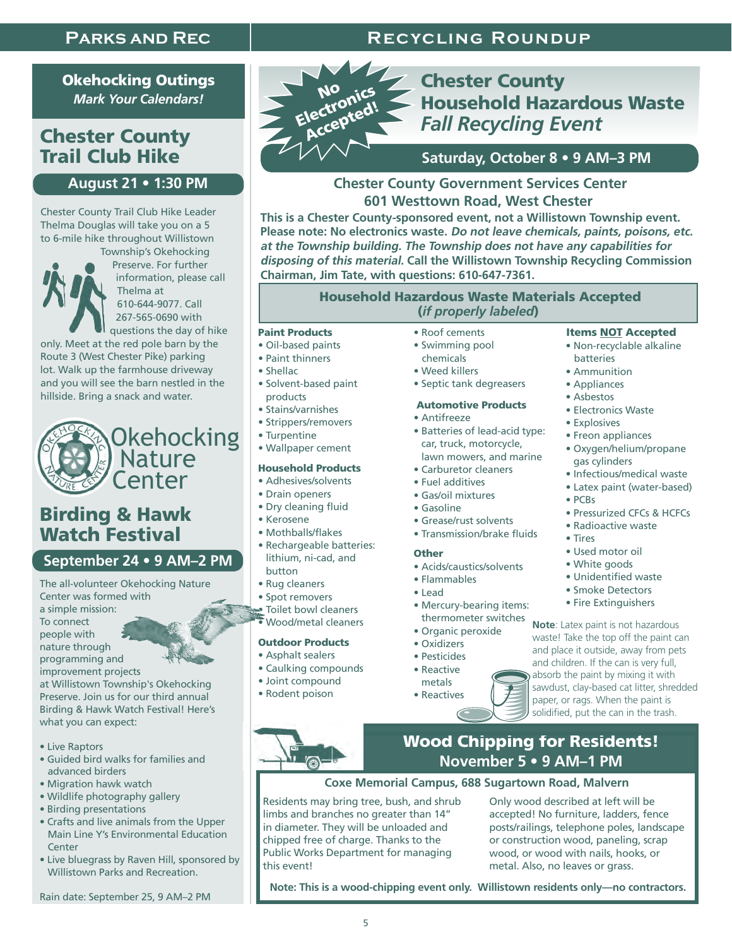# **Parks and Rec**

# **Recycling Roundup**

Okehocking Outings *Mark Your Calendars!* 

# Chester County Trail Club Hike

# **August 21 • 1:30 PM**

 Chester County Trail Club Hike Leader Thelma Douglas will take you on a 5 to 6-mile hike throughout Willistown



Township's Okehocking Preserve. For further information, please call Thelma at 610-644-9077. Call 267-565-0690 with questions the day of hike

 only. Meet at the red pole barn by the Route 3 (West Chester Pike) parking lot. Walk up the farmhouse driveway and you will see the barn nestled in the hillside. Bring a snack and water.



# Birding & Hawk Watch Festival

## **September 24 • 9 AM–2 PM**

The all-volunteer Okehocking Nature Center was formed with a simple mission: To connect people with nature through programming and improvement projects at Willistown Township's Okehocking Preserve. Join us for our third annual Birding & Hawk Watch Festival! Here's what you can expect:

- Live Raptors
- Guided bird walks for families and advanced birders
- Migration hawk watch
- Wildlife photography gallery
- Birding presentations
- Crafts and live animals from the Upper Main Line Y's Environmental Education **Center**
- Live bluegrass by Raven Hill, sponsored by Willistown Parks and Recreation.

Rain date: September 25, 9 AM–2 PM



# Chester County Household Hazardous Waste *Fall Recycling Event*

# **Saturday, October 8 • 9 AM–3 PM**

## **Chester County Government Services Center 601 Westtown Road, West Chester**

**This is a Chester County-sponsored event, not a Willistown Township event. Please note: No electronics waste. Do not leave chemicals, paints, poisons, etc. at the Township building. The Township does not have any capabilities for disposing of this material. Call the Willistown Township Recycling Commission Chairman, Jim Tate, with questions: 610-647-7361.**

#### Household Hazardous Waste Materials Accepted (*if properly labeled*)

#### Paint Products

- Oil-based paints
- Paint thinners
- Shellac
- Solvent-based paint products
- Stains/varnishes
- Strippers/removers
- Turpentine
- Wallpaper cement

#### Household Products

- Adhesives/solvents
- Drain openers
- Dry cleaning fluid
- Kerosene
- Mothballs/flakes
- Rechargeable batteries: lithium, ni-cad, and button
- Rug cleaners
- Spot removers
- Toilet bowl cleaners

# • Wood/metal cleaners

## Outdoor Products

- Asphalt sealers
- Caulking compounds
- Joint compound
- Rodent poison
- Roof cements • Swimming pool
- chemicals
- Weed killers
- Septic tank degreasers

#### Automotive Products

- Antifreeze
- Batteries of lead-acid type: car, truck, motorcycle, lawn mowers, and marine
- Carburetor cleaners • Fuel additives
- Gas/oil mixtures
- Gasoline
- Grease/rust solvents
- Transmission/brake fluids

#### **Other**

- Acids/caustics/solvents
- Flammables
- Lead
- Mercury-bearing items: thermometer switches
- Organic peroxide
- Oxidizers
- Pesticides
- Reactive metals

• Reactives

- Items NOT Accepted • Non-recyclable alkaline
- batteries
	- Ammunition
	- Appliances
	- Asbestos
	- Electronics Waste
	- Explosives
	- Freon appliances
	- Oxygen/helium/propane gas cylinders
	- Infectious/medical waste
	- Latex paint (water-based)
	- PCBs
	- Pressurized CFCs & HCFCs • Radioactive waste
	- Tires
	- Used motor oil
	- White goods
	- Unidentified waste
	- Smoke Detectors
	- Fire Extinguishers

**Note**: Latex paint is not hazardous waste! Take the top off the paint can and place it outside, away from pets and children. If the can is very full, absorb the paint by mixing it with sawdust, clay-based cat litter, shredded paper, or rags. When the paint is solidified, put the can in the trash.

# Wood Chipping for Residents! **November 5 • 9 AM–1 PM**

## **Coxe Memorial Campus, 688 Sugartown Road, Malvern**

Residents may bring tree, bush, and shrub limbs and branches no greater than 14" in diameter. They will be unloaded and chipped free of charge. Thanks to the Public Works Department for managing this event!

Only wood described at left will be accepted! No furniture, ladders, fence posts/railings, telephone poles, landscape or construction wood, paneling, scrap wood, or wood with nails, hooks, or metal. Also, no leaves or grass.

**Note: This is a wood-chipping event only. Willistown residents only—no contractors.**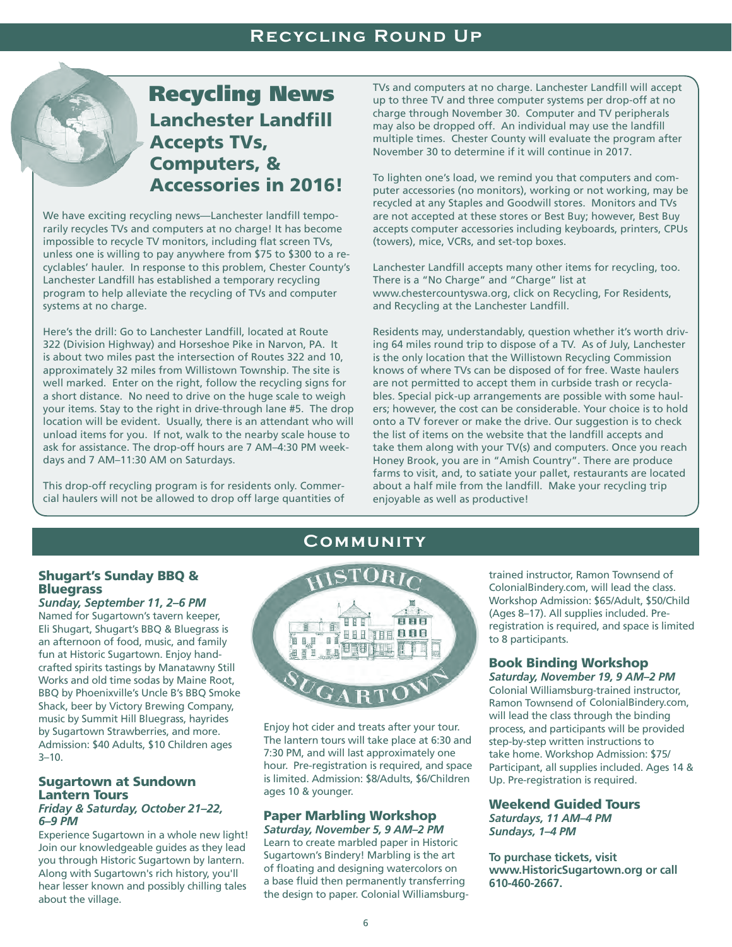# Lanchester Landfill Accepts TVs, Computers, & Accessories in 2016! Recycling News

We have exciting recycling news—Lanchester landfill temporarily recycles TVs and computers at no charge! It has become impossible to recycle TV monitors, including flat screen TVs, unless one is willing to pay anywhere from \$75 to \$300 to a recyclables' hauler. In response to this problem, Chester County's Lanchester Landfill has established a temporary recycling program to help alleviate the recycling of TVs and computer systems at no charge.

Here's the drill: Go to Lanchester Landfill, located at Route 322 (Division Highway) and Horseshoe Pike in Narvon, PA. It is about two miles past the intersection of Routes 322 and 10, approximately 32 miles from Willistown Township. The site is well marked. Enter on the right, follow the recycling signs for a short distance. No need to drive on the huge scale to weigh your items. Stay to the right in drive-through lane #5. The drop location will be evident. Usually, there is an attendant who will unload items for you. If not, walk to the nearby scale house to ask for assistance. The drop-off hours are 7 AM–4:30 PM weekdays and 7 AM–11:30 AM on Saturdays.

This drop-off recycling program is for residents only. Commercial haulers will not be allowed to drop off large quantities of TVs and computers at no charge. Lanchester Landfill will accept up to three TV and three computer systems per drop-off at no charge through November 30. Computer and TV peripherals may also be dropped off. An individual may use the landfill multiple times. Chester County will evaluate the program after November 30 to determine if it will continue in 2017.

To lighten one's load, we remind you that computers and computer accessories (no monitors), working or not working, may be recycled at any Staples and Goodwill stores. Monitors and TVs are not accepted at these stores or Best Buy; however, Best Buy accepts computer accessories including keyboards, printers, CPUs (towers), mice, VCRs, and set-top boxes.

Lanchester Landfill accepts many other items for recycling, too. There is a "No Charge" and "Charge" list at www.chestercountyswa.org, click on Recycling, For Residents, and Recycling at the Lanchester Landfill.

Residents may, understandably, question whether it's worth driving 64 miles round trip to dispose of a TV. As of July, Lanchester is the only location that the Willistown Recycling Commission knows of where TVs can be disposed of for free. Waste haulers are not permitted to accept them in curbside trash or recyclables. Special pick-up arrangements are possible with some haulers; however, the cost can be considerable. Your choice is to hold onto a TV forever or make the drive. Our suggestion is to check the list of items on the website that the landfill accepts and take them along with your TV(s) and computers. Once you reach Honey Brook, you are in "Amish Country". There are produce farms to visit, and, to satiate your pallet, restaurants are located about a half mile from the landfill. Make your recycling trip enjoyable as well as productive!

#### Shugart's Sunday BBQ & **Bluegrass**

*Sunday, September 11, 2–6 PM* Named for Sugartown's tavern keeper, Eli Shugart, Shugart's BBQ & Bluegrass is an afternoon of food, music, and family fun at Historic Sugartown. Enjoy handcrafted spirits tastings by Manatawny Still Works and old time sodas by Maine Root, BBQ by Phoenixville's Uncle B's BBQ Smoke Shack, beer by Victory Brewing Company, music by Summit Hill Bluegrass, hayrides by Sugartown Strawberries, and more. Admission: \$40 Adults, \$10 Children ages  $3 - 10.$ 

#### Sugartown at Sundown Lantern Tours *Friday & Saturday, October 21–22, 6–9 PM*

Experience Sugartown in a whole new light! Join our knowledgeable guides as they lead you through Historic Sugartown by lantern. Along with Sugartown's rich history, you'll hear lesser known and possibly chilling tales about the village.



**Community**

Enjoy hot cider and treats after your tour. The lantern tours will take place at 6:30 and 7:30 PM, and will last approximately one hour. Pre-registration is required, and space is limited. Admission: \$8/Adults, \$6/Children ages 10 & younger.

#### Paper Marbling Workshop *Saturday, November 5, 9 AM–2 PM*

Learn to create marbled paper in Historic Sugartown's Bindery! Marbling is the art of floating and designing watercolors on a base fluid then permanently transferring the design to paper. Colonial Williamsburgtrained instructor, Ramon Townsend of ColonialBindery.com, will lead the class. Workshop Admission: \$65/Adult, \$50/Child (Ages 8–17). All supplies included. Preregistration is required, and space is limited to 8 participants.

#### Book Binding Workshop *Saturday, November 19, 9 AM–2 PM*

Colonial Williamsburg-trained instructor, Ramon Townsend of ColonialBindery.com,will lead the class through the binding process, and participants will be provided step-by-step written instructions to take home. Workshop Admission: \$75/ Participant, all supplies included. Ages 14 & Up. Pre-registration is required.

## Weekend Guided Tours *Saturdays, 11 AM–4 PM*

*Sundays, 1–4 PM*

**To purchase tickets, visit www.HistoricSugartown.org or call 610-460-2667.**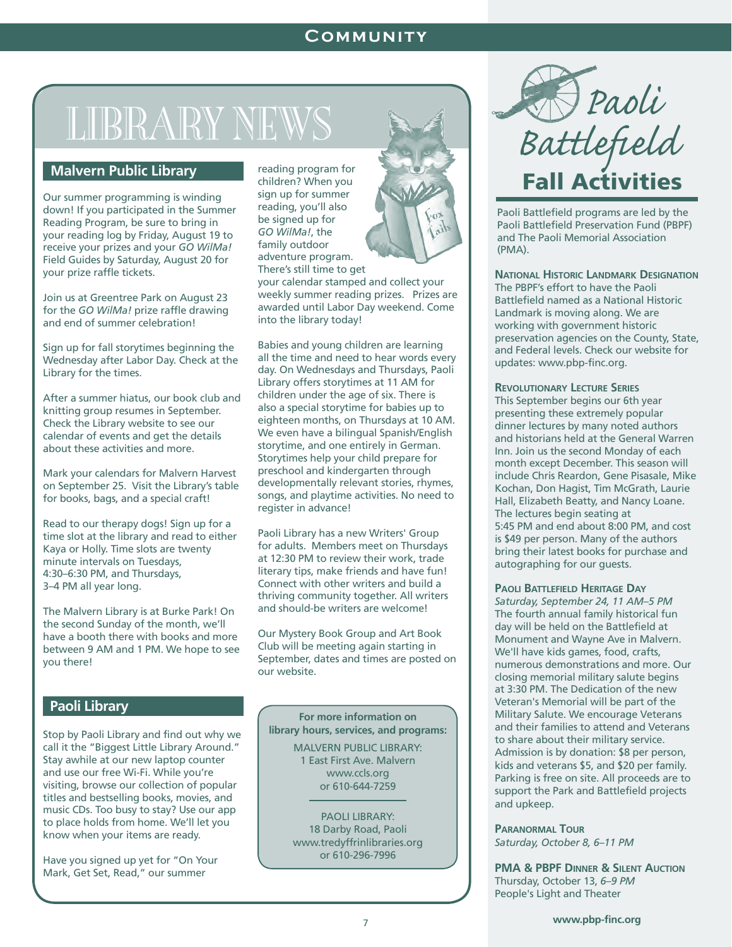# **Community**

# LIBRARY NEWS

## **Malvern Public Library**

Our summer programming is winding down! If you participated in the Summer Reading Program, be sure to bring in your reading log by Friday, August 19 to receive your prizes and your *GO WilMa!*  Field Guides by Saturday, August 20 for your prize raffle tickets.

Join us at Greentree Park on August 23 for the *GO WilMa!* prize raffle drawing and end of summer celebration!

Sign up for fall storytimes beginning the Wednesday after Labor Day. Check at the Library for the times.

After a summer hiatus, our book club and knitting group resumes in September. Check the Library website to see our calendar of events and get the details about these activities and more.

Mark your calendars for Malvern Harvest on September 25. Visit the Library's table for books, bags, and a special craft!

Read to our therapy dogs! Sign up for a time slot at the library and read to either Kaya or Holly. Time slots are twenty minute intervals on Tuesdays, 4:30–6:30 PM, and Thursdays, 3–4 PM all year long.

The Malvern Library is at Burke Park! On the second Sunday of the month, we'll have a booth there with books and more between 9 AM and 1 PM. We hope to see you there!

## **Paoli Library**

Stop by Paoli Library and find out why we call it the "Biggest Little Library Around." Stay awhile at our new laptop counter and use our free Wi-Fi. While you're visiting, browse our collection of popular titles and bestselling books, movies, and music CDs. Too busy to stay? Use our app to place holds from home. We'll let you know when your items are ready.

Have you signed up yet for "On Your Mark, Get Set, Read," our summer

reading program for children? When you sign up for summer reading, you'll also be signed up for *GO WilMa!*, the family outdoor adventure program. There's still time to get

your calendar stamped and collect your weekly summer reading prizes. Prizes are awarded until Labor Day weekend. Come into the library today!

Babies and young children are learning all the time and need to hear words every day. On Wednesdays and Thursdays, Paoli Library offers storytimes at 11 AM for children under the age of six. There is also a special storytime for babies up to eighteen months, on Thursdays at 10 AM. We even have a bilingual Spanish/English storytime, and one entirely in German. Storytimes help your child prepare for preschool and kindergarten through developmentally relevant stories, rhymes, songs, and playtime activities. No need to register in advance!

Paoli Library has a new Writers' Group for adults. Members meet on Thursdays at 12:30 PM to review their work, trade literary tips, make friends and have fun! Connect with other writers and build a thriving community together. All writers and should-be writers are welcome!

Our Mystery Book Group and Art Book Club will be meeting again starting in September, dates and times are posted on our website.

**For more information on library hours, services, and programs:**

> MALVERN PUBLIC LIBRARY: 1 East First Ave. Malvern www.ccls.org or 610-644-7259

PAOLI LIBRARY: 18 Darby Road, Paoli www.tredyffrinlibraries.org or 610-296-7996



Paoli Battlefield programs are led by the Paoli Battlefield Preservation Fund (PBPF) and The Paoli Memorial Association (PMA).

#### **National Historic Landmark Designation**

The PBPF's effort to have the Paoli Battlefield named as a National Historic Landmark is moving along. We are working with government historic preservation agencies on the County, State, and Federal levels. Check our website for updates: www.pbp-finc.org.

#### **Revolutionary Lecture Series**

This September begins our 6th year presenting these extremely popular dinner lectures by many noted authors and historians held at the General Warren Inn. Join us the second Monday of each month except December. This season will include Chris Reardon, Gene Pisasale, Mike Kochan, Don Hagist, Tim McGrath, Laurie Hall, Elizabeth Beatty, and Nancy Loane. The lectures begin seating at 5:45 PM and end about 8:00 PM, and cost is \$49 per person. Many of the authors bring their latest books for purchase and autographing for our guests.

#### **Paoli Battlefield Heritage Day**

*Saturday, September 24, 11 AM–5 PM* The fourth annual family historical fun day will be held on the Battlefield at Monument and Wayne Ave in Malvern. We'll have kids games, food, crafts, numerous demonstrations and more. Our closing memorial military salute begins at 3:30 PM. The Dedication of the new Veteran's Memorial will be part of the Military Salute. We encourage Veterans and their families to attend and Veterans to share about their military service. Admission is by donation: \$8 per person, kids and veterans \$5, and \$20 per family. Parking is free on site. All proceeds are to support the Park and Battlefield projects and upkeep.

**Paranormal Tour** *Saturday, October 8, 6–11 PM*

**PMA & PBPF Dinner & Silent Auction** Thursday, October 13, *6–9 PM* People's Light and Theater